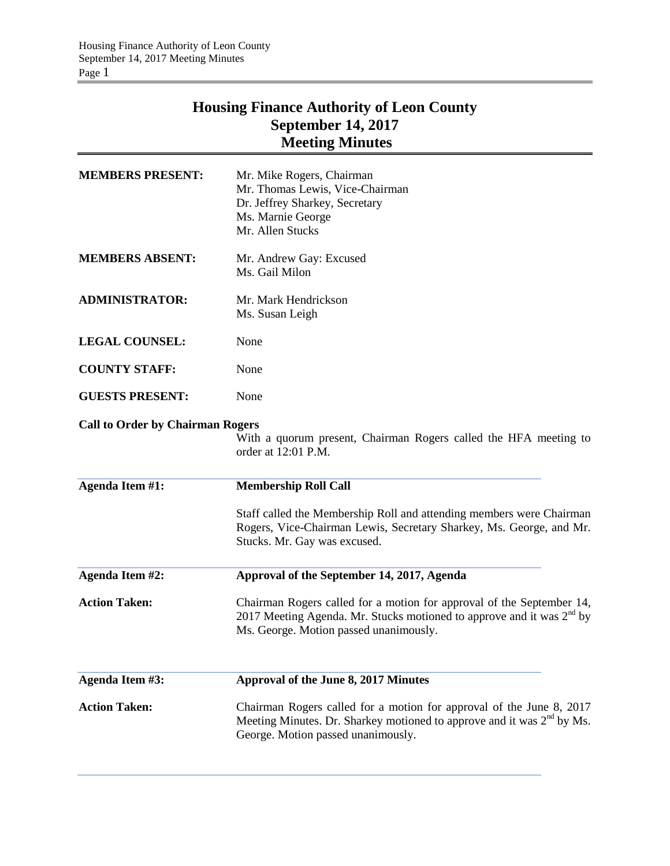# **Housing Finance Authority of Leon County September 14, 2017 Meeting Minutes**

| <b>MEMBERS PRESENT:</b>                 | Mr. Mike Rogers, Chairman<br>Mr. Thomas Lewis, Vice-Chairman<br>Dr. Jeffrey Sharkey, Secretary<br>Ms. Marnie George<br>Mr. Allen Stucks                                                    |
|-----------------------------------------|--------------------------------------------------------------------------------------------------------------------------------------------------------------------------------------------|
| <b>MEMBERS ABSENT:</b>                  | Mr. Andrew Gay: Excused<br>Ms. Gail Milon                                                                                                                                                  |
| <b>ADMINISTRATOR:</b>                   | Mr. Mark Hendrickson<br>Ms. Susan Leigh                                                                                                                                                    |
| <b>LEGAL COUNSEL:</b>                   | None                                                                                                                                                                                       |
| <b>COUNTY STAFF:</b>                    | None                                                                                                                                                                                       |
| <b>GUESTS PRESENT:</b>                  | None                                                                                                                                                                                       |
| <b>Call to Order by Chairman Rogers</b> | With a quorum present, Chairman Rogers called the HFA meeting to<br>order at 12:01 P.M.                                                                                                    |
| Agenda Item #1:                         | <b>Membership Roll Call</b>                                                                                                                                                                |
|                                         | Staff called the Membership Roll and attending members were Chairman<br>Rogers, Vice-Chairman Lewis, Secretary Sharkey, Ms. George, and Mr.<br>Stucks. Mr. Gay was excused.                |
| <b>Agenda Item #2:</b>                  | Approval of the September 14, 2017, Agenda                                                                                                                                                 |
| <b>Action Taken:</b>                    | Chairman Rogers called for a motion for approval of the September 14,<br>2017 Meeting Agenda. Mr. Stucks motioned to approve and it was $2nd$ by<br>Ms. George. Motion passed unanimously. |
| <b>Agenda Item #3:</b>                  | Approval of the June 8, 2017 Minutes                                                                                                                                                       |
| <b>Action Taken:</b>                    | Chairman Rogers called for a motion for approval of the June 8, 2017<br>Meeting Minutes. Dr. Sharkey motioned to approve and it was $2nd$ by Ms.<br>George. Motion passed unanimously.     |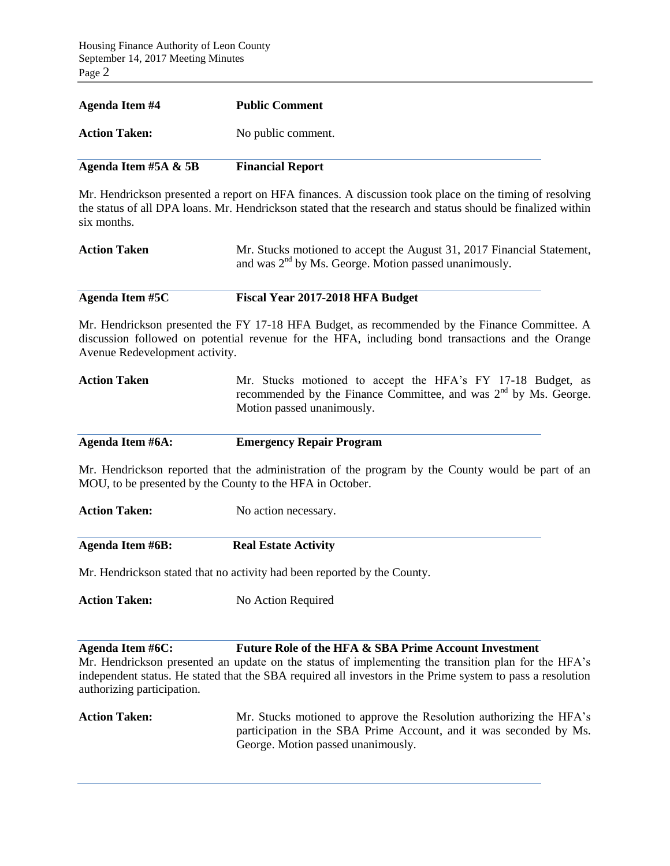| Agenda Item #4          | <b>Public Comment</b>   |
|-------------------------|-------------------------|
| <b>Action Taken:</b>    | No public comment.      |
| Agenda Item #5A $\&$ 5B | <b>Financial Report</b> |

Mr. Hendrickson presented a report on HFA finances. A discussion took place on the timing of resolving the status of all DPA loans. Mr. Hendrickson stated that the research and status should be finalized within six months.

| <b>Action Taken</b> | Mr. Stucks motioned to accept the August 31, 2017 Financial Statement, |
|---------------------|------------------------------------------------------------------------|
|                     | and was $2nd$ by Ms. George. Motion passed unanimously.                |

#### **Agenda Item #5C Fiscal Year 2017-2018 HFA Budget**

Mr. Hendrickson presented the FY 17-18 HFA Budget, as recommended by the Finance Committee. A discussion followed on potential revenue for the HFA, including bond transactions and the Orange Avenue Redevelopment activity.

| <b>Action Taken</b> |  | Mr. Stucks motioned to accept the HFA's FY 17-18 Budget, as        |  |  |  |  |
|---------------------|--|--------------------------------------------------------------------|--|--|--|--|
|                     |  | recommended by the Finance Committee, and was $2nd$ by Ms. George. |  |  |  |  |
|                     |  | Motion passed unanimously.                                         |  |  |  |  |

| Agenda Item #6A: | <b>Emergency Repair Program</b> |
|------------------|---------------------------------|
|                  |                                 |

Mr. Hendrickson reported that the administration of the program by the County would be part of an MOU, to be presented by the County to the HFA in October.

| <b>Action Taken:</b> | No action necessary. |
|----------------------|----------------------|
|                      |                      |

**Agenda Item #6B: Real Estate Activity**

Mr. Hendrickson stated that no activity had been reported by the County.

Action Taken: No Action Required

## **Agenda Item #6C: Future Role of the HFA & SBA Prime Account Investment**

Mr. Hendrickson presented an update on the status of implementing the transition plan for the HFA's independent status. He stated that the SBA required all investors in the Prime system to pass a resolution authorizing participation.

Action Taken: Mr. Stucks motioned to approve the Resolution authorizing the HFA's participation in the SBA Prime Account, and it was seconded by Ms. George. Motion passed unanimously.